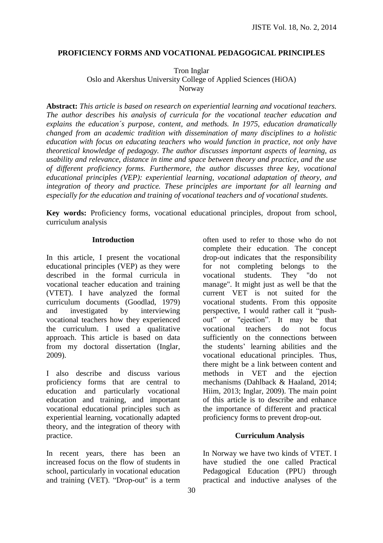## **PROFICIENCY FORMS AND VOCATIONAL PEDAGOGICAL PRINCIPLES**

Tron Inglar Oslo and Akershus University College of Applied Sciences (HiOA) Norway

**Abstract:** *This article is based on research on experiential learning and vocational teachers. The author describes his analysis of curricula for the vocational teacher education and explains the education´s purpose, content, and methods. In 1975, education dramatically changed from an academic tradition with dissemination of many disciplines to a holistic education with focus on educating teachers who would function in practice, not only have theoretical knowledge of pedagogy. The author discusses important aspects of learning, as usability and relevance, distance in time and space between theory and practice, and the use of different proficiency forms. Furthermore, the author discusses three key, vocational educational principles (VEP): experiential learning, vocational adaptation of theory, and integration of theory and practice. These principles are important for all learning and especially for the education and training of vocational teachers and of vocational students.*

**Key words:** Proficiency forms, vocational educational principles, dropout from school, curriculum analysis

#### **Introduction**

In this article, I present the vocational educational principles (VEP) as they were described in the formal curricula in vocational teacher education and training (VTET). I have analyzed the formal curriculum documents (Goodlad, 1979) and investigated by interviewing vocational teachers how they experienced the curriculum. I used a qualitative approach. This article is based on data from my doctoral dissertation (Inglar, 2009).

I also describe and discuss various proficiency forms that are central to education and particularly vocational education and training, and important vocational educational principles such as experiential learning, vocationally adapted theory, and the integration of theory with practice.

In recent years, there has been an increased focus on the flow of students in school, particularly in vocational education and training (VET). "Drop-out" is a term

often used to refer to those who do not complete their education. The concept drop-out indicates that the responsibility for not completing belongs to the vocational students. They "do not manage". It might just as well be that the current VET is not suited for the vocational students. From this opposite perspective, I would rather call it "pushout" or "ejection". It may be that vocational teachers do not focus sufficiently on the connections between the students' learning abilities and the vocational educational principles. Thus, there might be a link between content and methods in VET and the ejection mechanisms (Dahlback & Haaland, 2014; Hiim, 2013; Inglar, 2009). The main point of this article is to describe and enhance the importance of different and practical proficiency forms to prevent drop-out.

## **Curriculum Analysis**

In Norway we have two kinds of VTET. I have studied the one called Practical Pedagogical Education (PPU) through practical and inductive analyses of the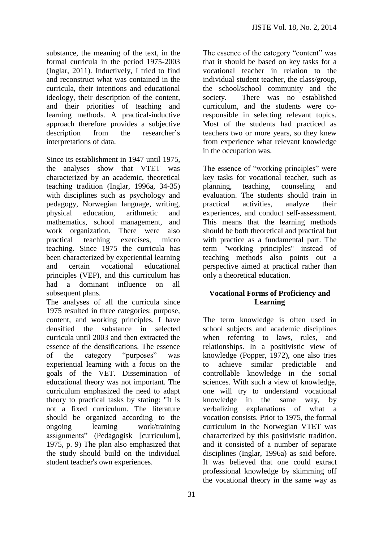substance, the meaning of the text, in the formal curricula in the period 1975-2003 (Inglar, 2011). Inductively, I tried to find and reconstruct what was contained in the curricula, their intentions and educational ideology, their description of the content, and their priorities of teaching and learning methods. A practical-inductive approach therefore provides a subjective description from the researcher's interpretations of data.

Since its establishment in 1947 until 1975, the analyses show that VTET was characterized by an academic, theoretical teaching tradition (Inglar, 1996a, 34-35) with disciplines such as psychology and pedagogy, Norwegian language, writing, physical education, arithmetic and mathematics, school management, and work organization. There were also practical teaching exercises, micro teaching. Since 1975 the curricula has been characterized by experiential learning and certain vocational educational principles (VEP), and this curriculum has had a dominant influence on all subsequent plans.

The analyses of all the curricula since 1975 resulted in three categories: purpose, content, and working principles. I have densified the substance in selected curricula until 2003 and then extracted the essence of the densifications. The essence of the category "purposes" was experiential learning with a focus on the goals of the VET. Dissemination of educational theory was not important. The curriculum emphasized the need to adapt theory to practical tasks by stating: "It is not a fixed curriculum. The literature should be organized according to the ongoing learning work/training assignments" (Pedagogisk [curriculum], 1975, p. 9) The plan also emphasized that the study should build on the individual student teacher's own experiences.

The essence of the category "content" was that it should be based on key tasks for a vocational teacher in relation to the individual student teacher, the class/group, the school/school community and the society. There was no established curriculum, and the students were coresponsible in selecting relevant topics. Most of the students had practiced as teachers two or more years, so they knew from experience what relevant knowledge in the occupation was.

The essence of "working principles" were key tasks for vocational teacher, such as planning, teaching, counseling and evaluation. The students should train in practical activities, analyze their experiences, and conduct self-assessment. This means that the learning methods should be both theoretical and practical but with practice as a fundamental part. The term "working principles" instead of teaching methods also points out a perspective aimed at practical rather than only a theoretical education.

## **Vocational Forms of Proficiency and Learning**

The term knowledge is often used in school subjects and academic disciplines when referring to laws, rules, and relationships. In a positivistic view of knowledge (Popper, 1972), one also tries to achieve similar predictable and controllable knowledge in the social sciences. With such a view of knowledge, one will try to understand vocational knowledge in the same way, by verbalizing explanations of what a vocation consists. Prior to 1975, the formal curriculum in the Norwegian VTET was characterized by this positivistic tradition, and it consisted of a number of separate disciplines (Inglar, 1996a) as said before. It was believed that one could extract professional knowledge by skimming off the vocational theory in the same way as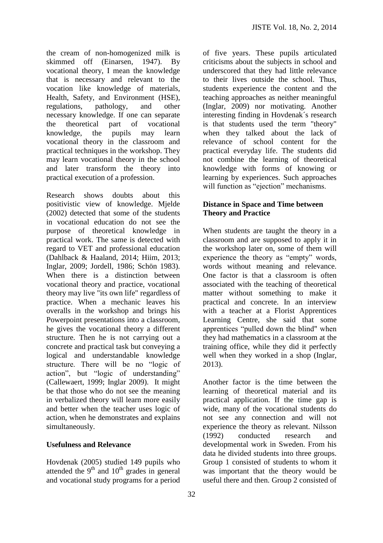the cream of non-homogenized milk is skimmed off (Einarsen, 1947). By vocational theory, I mean the knowledge that is necessary and relevant to the vocation like knowledge of materials, Health, Safety, and Environment (HSE), regulations, pathology, and other necessary knowledge. If one can separate the theoretical part of vocational knowledge, the pupils may learn vocational theory in the classroom and practical techniques in the workshop. They may learn vocational theory in the school and later transform the theory into practical execution of a profession.

Research shows doubts about this positivistic view of knowledge. Mjelde (2002) detected that some of the students in vocational education do not see the purpose of theoretical knowledge in practical work. The same is detected with regard to VET and professional education (Dahlback & Haaland, 2014; Hiim, 2013; Inglar, 2009; Jordell, 1986; Schön 1983). When there is a distinction between vocational theory and practice, vocational theory may live "its own life" regardless of practice. When a mechanic leaves his overalls in the workshop and brings his Powerpoint presentations into a classroom, he gives the vocational theory a different structure. Then he is not carrying out a concrete and practical task but conveying a logical and understandable knowledge structure. There will be no "logic of action", but "logic of understanding" (Callewaert, 1999; Inglar 2009). It might be that those who do not see the meaning in verbalized theory will learn more easily and better when the teacher uses logic of action, when he demonstrates and explains simultaneously.

#### **Usefulness and Relevance**

Hovdenak (2005) studied 149 pupils who attended the  $9<sup>th</sup>$  and  $10<sup>th</sup>$  grades in general and vocational study programs for a period

of five years. These pupils articulated criticisms about the subjects in school and underscored that they had little relevance to their lives outside the school. Thus, students experience the content and the teaching approaches as neither meaningful (Inglar, 2009) nor motivating. Another interesting finding in Hovdenak´s research is that students used the term "theory" when they talked about the lack of relevance of school content for the practical everyday life. The students did not combine the learning of theoretical knowledge with forms of knowing or learning by experiences. Such approaches will function as "ejection" mechanisms.

## **Distance in Space and Time between Theory and Practice**

When students are taught the theory in a classroom and are supposed to apply it in the workshop later on, some of them will experience the theory as "empty" words, words without meaning and relevance. One factor is that a classroom is often associated with the teaching of theoretical matter without something to make it practical and concrete. In an interview with a teacher at a Florist Apprentices Learning Centre, she said that some apprentices "pulled down the blind" when they had mathematics in a classroom at the training office, while they did it perfectly well when they worked in a shop (Inglar, 2013).

Another factor is the time between the learning of theoretical material and its practical application. If the time gap is wide, many of the vocational students do not see any connection and will not experience the theory as relevant. Nilsson (1992) conducted research and developmental work in Sweden. From his data he divided students into three groups. Group 1 consisted of students to whom it was important that the theory would be useful there and then. Group 2 consisted of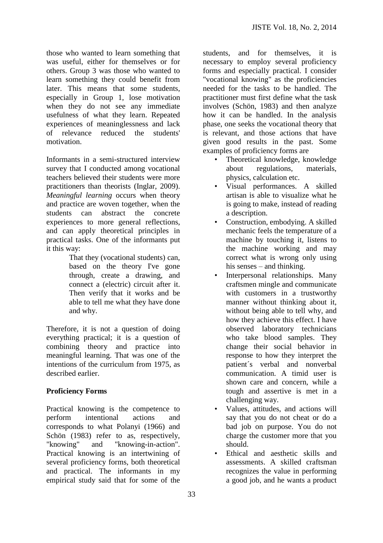those who wanted to learn something that was useful, either for themselves or for others. Group 3 was those who wanted to learn something they could benefit from later. This means that some students, especially in Group 1, lose motivation when they do not see any immediate usefulness of what they learn. Repeated experiences of meaninglessness and lack of relevance reduced the students' motivation.

Informants in a semi-structured interview survey that I conducted among vocational teachers believed their students were more practitioners than theorists (Inglar, 2009). *Meaningful learning* occurs when theory and practice are woven together, when the students can abstract the concrete experiences to more general reflections, and can apply theoretical principles in practical tasks. One of the informants put it this way:

That they (vocational students) can, based on the theory I've gone through, create a drawing, and connect a (electric) circuit after it. Then verify that it works and be able to tell me what they have done and why.

Therefore, it is not a question of doing everything practical; it is a question of combining theory and practice into meaningful learning. That was one of the intentions of the curriculum from 1975, as described earlier.

## **Proficiency Forms**

Practical knowing is the competence to perform intentional actions and corresponds to what Polanyi (1966) and Schön (1983) refer to as, respectively, "knowing" and "knowing-in-action". Practical knowing is an intertwining of several proficiency forms, both theoretical and practical. The informants in my empirical study said that for some of the

students, and for themselves, it is necessary to employ several proficiency forms and especially practical. I consider "vocational knowing" as the proficiencies needed for the tasks to be handled. The practitioner must first define what the task involves (Schön, 1983) and then analyze how it can be handled. In the analysis phase, one seeks the vocational theory that is relevant, and those actions that have given good results in the past. Some examples of proficiency forms are

- Theoretical knowledge, knowledge about regulations, materials, physics, calculation etc.
- Visual performances. A skilled artisan is able to visualize what he is going to make, instead of reading a description.
- Construction, embodying. A skilled mechanic feels the temperature of a machine by touching it, listens to the machine working and may correct what is wrong only using his senses – and thinking.
- Interpersonal relationships. Many craftsmen mingle and communicate with customers in a trustworthy manner without thinking about it, without being able to tell why, and how they achieve this effect. I have observed laboratory technicians who take blood samples. They change their social behavior in response to how they interpret the patient´s verbal and nonverbal communication. A timid user is shown care and concern, while a tough and assertive is met in a challenging way.
- Values, attitudes, and actions will say that you do not cheat or do a bad job on purpose. You do not charge the customer more that you should.
- Ethical and aesthetic skills and assessments. A skilled craftsman recognizes the value in performing a good job, and he wants a product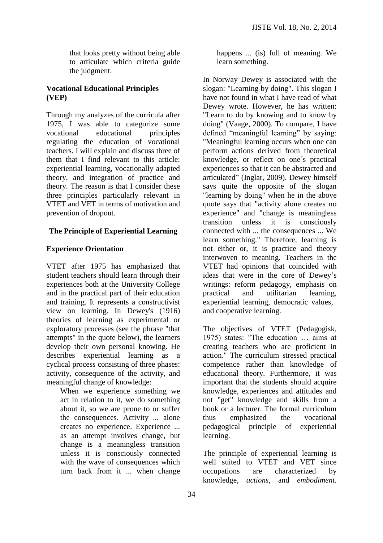that looks pretty without being able to articulate which criteria guide the judgment.

## **Vocational Educational Principles (VEP)**

Through my analyzes of the curricula after 1975, I was able to categorize some vocational educational principles regulating the education of vocational teachers. I will explain and discuss three of them that I find relevant to this article: experiential learning, vocationally adapted theory, and integration of practice and theory. The reason is that I consider these three principles particularly relevant in VTET and VET in terms of motivation and prevention of dropout.

## **The Principle of Experiential Learning**

# **Experience Orientation**

VTET after 1975 has emphasized that student teachers should learn through their experiences both at the University College and in the practical part of their education and training. It represents a constructivist view on learning. In Dewey's (1916) theories of learning as experimental or exploratory processes (see the phrase "that attempts" in the quote below), the learners develop their own personal knowing. He describes experiential learning as a cyclical process consisting of three phases: activity, consequence of the activity, and meaningful change of knowledge:

When we experience something we act in relation to it, we do something about it, so we are prone to or suffer the consequences. Activity ... alone creates no experience. Experience ... as an attempt involves change, but change is a meaningless transition unless it is consciously connected with the wave of consequences which turn back from it ... when change

happens ... (is) full of meaning. We learn something.

In Norway Dewey is associated with the slogan: "Learning by doing". This slogan I have not found in what I have read of what Dewey wrote. However, he has written: "Learn to do by knowing and to know by doing" (Vaage, 2000). To compare, I have defined "meaningful learning" by saying: "Meaningful learning occurs when one can perform actions derived from theoretical knowledge, or reflect on one´s practical experiences so that it can be abstracted and articulated" (Inglar, 2009). Dewey himself says quite the opposite of the slogan "learning by doing" when he in the above quote says that "activity alone creates no experience" and "change is meaningless transition unless it is consciously connected with ... the consequences ... We learn something." Therefore, learning is not either or, it is practice and theory interwoven to meaning. Teachers in the VTET had opinions that coincided with ideas that were in the core of Dewey's writings: reform pedagogy, emphasis on practical and utilitarian learning, experiential learning, democratic values, and cooperative learning.

The objectives of VTET (Pedagogisk, 1975) states: "The education … aims at creating teachers who are proficient in action." The curriculum stressed practical competence rather than knowledge of educational theory. Furthermore, it was important that the students should acquire knowledge, experiences and attitudes and not "get" knowledge and skills from a book or a lecturer. The formal curriculum thus emphasized the vocational pedagogical principle of experiential learning.

The principle of experiential learning is well suited to VTET and VET since occupations are characterized by knowledge, *actions,* and *embodiment*.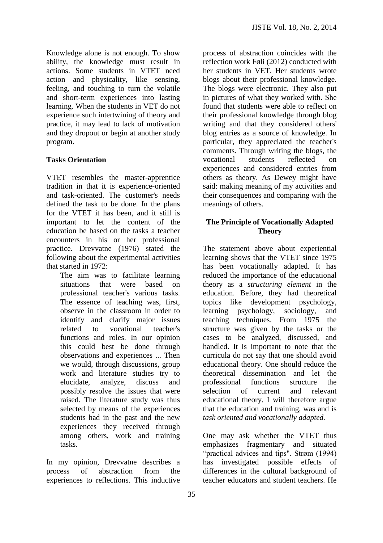Knowledge alone is not enough. To show ability, the knowledge must result in actions. Some students in VTET need action and physicality, like sensing, feeling, and touching to turn the volatile and short-term experiences into lasting learning. When the students in VET do not experience such intertwining of theory and practice, it may lead to lack of motivation and they dropout or begin at another study program.

# **Tasks Orientation**

VTET resembles the master-apprentice tradition in that it is experience-oriented and task-oriented. The customer's needs defined the task to be done. In the plans for the VTET it has been, and it still is important to let the content of the education be based on the tasks a teacher encounters in his or her professional practice. Drevvatne (1976) stated the following about the experimental activities that started in 1972:

The aim was to facilitate learning situations that were based on professional teacher's various tasks. The essence of teaching was, first, observe in the classroom in order to identify and clarify major issues related to vocational teacher's functions and roles. In our opinion this could best be done through observations and experiences ... Then we would, through discussions, group work and literature studies try to elucidate, analyze, discuss and possibly resolve the issues that were raised. The literature study was thus selected by means of the experiences students had in the past and the new experiences they received through among others, work and training tasks.

In my opinion, Drevvatne describes a process of abstraction from the experiences to reflections. This inductive

process of abstraction coincides with the reflection work Føli (2012) conducted with her students in VET. Her students wrote blogs about their professional knowledge. The blogs were electronic. They also put in pictures of what they worked with. She found that students were able to reflect on their professional knowledge through blog writing and that they considered others' blog entries as a source of knowledge. In particular, they appreciated the teacher's comments. Through writing the blogs, the vocational students reflected on experiences and considered entries from others as theory. As Dewey might have said: making meaning of my activities and their consequences and comparing with the meanings of others.

## **The Principle of Vocationally Adapted Theory**

The statement above about experiential learning shows that the VTET since 1975 has been vocationally adapted. It has reduced the importance of the educational theory as a *structuring element* in the education. Before, they had theoretical topics like development psychology, learning psychology, sociology, and teaching techniques. From 1975 the structure was given by the tasks or the cases to be analyzed, discussed, and handled. It is important to note that the curricula do not say that one should avoid educational theory. One should reduce the theoretical dissemination and let the professional functions structure the selection of current and relevant educational theory. I will therefore argue that the education and training, was and is *task oriented and vocationally adapted.*

One may ask whether the VTET thus emphasizes fragmentary and situated "practical advices and tips". Strøm (1994) has investigated possible effects of differences in the cultural background of teacher educators and student teachers. He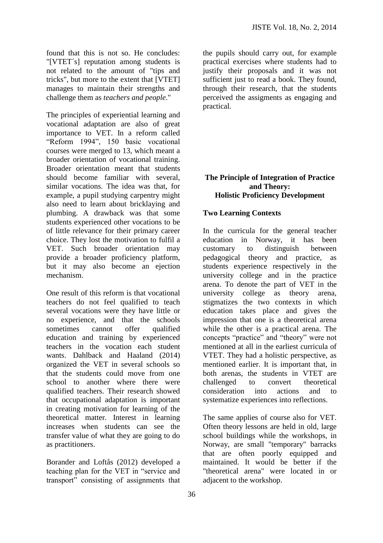found that this is not so. He concludes: "[VTET´s] reputation among students is not related to the amount of "tips and tricks", but more to the extent that [VTET] manages to maintain their strengths and challenge them as *teachers and people*."

The principles of experiential learning and vocational adaptation are also of great importance to VET. In a reform called "Reform 1994", 150 basic vocational courses were merged to 13, which meant a broader orientation of vocational training. Broader orientation meant that students should become familiar with several, similar vocations. The idea was that, for example, a pupil studying carpentry might also need to learn about bricklaying and plumbing. A drawback was that some students experienced other vocations to be of little relevance for their primary career choice. They lost the motivation to fulfil a VET. Such broader orientation may provide a broader proficiency platform, but it may also become an ejection mechanism.

One result of this reform is that vocational teachers do not feel qualified to teach several vocations were they have little or no experience, and that the schools sometimes cannot offer qualified education and training by experienced teachers in the vocation each student wants. Dahlback and Haaland (2014) organized the VET in several schools so that the students could move from one school to another where there were qualified teachers. Their research showed that occupational adaptation is important in creating motivation for learning of the theoretical matter. Interest in learning increases when students can see the transfer value of what they are going to do as practitioners.

Borander and Loftås (2012) developed a teaching plan for the VET in "service and transport" consisting of assignments that

the pupils should carry out, for example practical exercises where students had to justify their proposals and it was not sufficient just to read a book. They found, through their research, that the students perceived the assigments as engaging and practical.

# **The Principle of Integration of Practice and Theory: Holistic Proficiency Development**

# **Two Learning Contexts**

In the curricula for the general teacher education in Norway, it has been customary to distinguish between pedagogical theory and practice, as students experience respectively in the university college and in the practice arena. To denote the part of VET in the university college as theory arena, stigmatizes the two contexts in which education takes place and gives the impression that one is a theoretical arena while the other is a practical arena. The concepts "practice" and "theory" were not mentioned at all in the earliest curricula of VTET. They had a holistic perspective, as mentioned earlier. It is important that, in both arenas, the students in VTET are challenged to convert theoretical consideration into actions and to systematize experiences into reflections.

The same applies of course also for VET. Often theory lessons are held in old, large school buildings while the workshops, in Norway, are small "temporary" barracks that are often poorly equipped and maintained. It would be better if the "theoretical arena" were located in or adjacent to the workshop.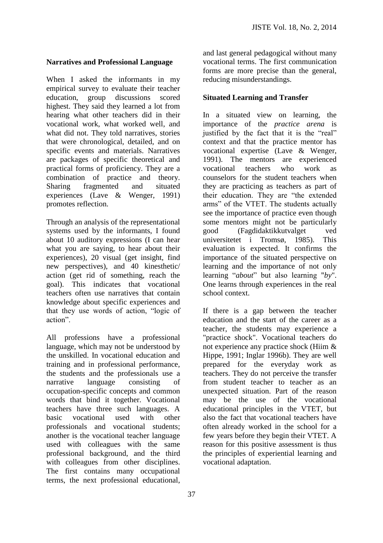## **Narratives and Professional Language**

When I asked the informants in my empirical survey to evaluate their teacher education, group discussions scored highest. They said they learned a lot from hearing what other teachers did in their vocational work, what worked well, and what did not. They told narratives, stories that were chronological, detailed, and on specific events and materials. Narratives are packages of specific theoretical and practical forms of proficiency. They are a combination of practice and theory. Sharing fragmented and situated experiences (Lave & Wenger, 1991) promotes reflection.

Through an analysis of the representational systems used by the informants, I found about 10 auditory expressions (I can hear what you are saying, to hear about their experiences), 20 visual (get insight, find new perspectives), and 40 kinesthetic/ action (get rid of something, reach the goal). This indicates that vocational teachers often use narratives that contain knowledge about specific experiences and that they use words of action, "logic of action".

All professions have a professional language, which may not be understood by the unskilled. In vocational education and training and in professional performance, the students and the professionals use a narrative language consisting of occupation-specific concepts and common words that bind it together. Vocational teachers have three such languages. A basic vocational used with other professionals and vocational students; another is the vocational teacher language used with colleagues with the same professional background, and the third with colleagues from other disciplines. The first contains many occupational terms, the next professional educational,

and last general pedagogical without many vocational terms. The first communication forms are more precise than the general, reducing misunderstandings.

## **Situated Learning and Transfer**

In a situated view on learning, the importance of the *practice arena* is justified by the fact that it is the "real" context and that the practice mentor has vocational expertise (Lave & Wenger, 1991). The mentors are experienced vocational teachers who work as counselors for the student teachers when they are practicing as teachers as part of their education. They are "the extended arms" of the VTET. The students actually see the importance of practice even though some mentors might not be particularly good (Fagdidaktikkutvalget ved universitetet i Tromsø, 1985). This evaluation is expected. It confirms the importance of the situated perspective on learning and the importance of not only learning "*about*" but also learning "*by*". One learns through experiences in the real school context.

If there is a gap between the teacher education and the start of the career as a teacher, the students may experience a "practice shock". Vocational teachers do not experience any practice shock (Hiim & Hippe, 1991; Inglar 1996b). They are well prepared for the everyday work as teachers. They do not perceive the transfer from student teacher to teacher as an unexpected situation. Part of the reason may be the use of the vocational educational principles in the VTET, but also the fact that vocational teachers have often already worked in the school for a few years before they begin their VTET. A reason for this positive assessment is thus the principles of experiential learning and vocational adaptation.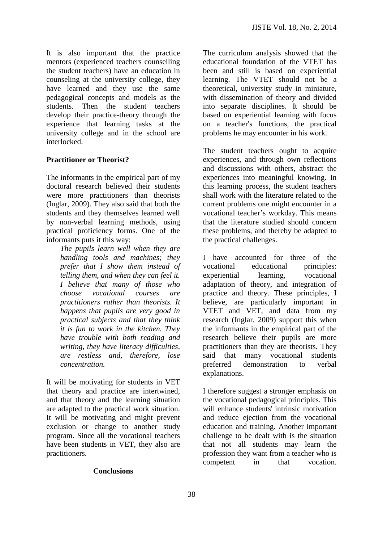It is also important that the practice mentors (experienced teachers counselling the student teachers) have an education in counseling at the university college, they have learned and they use the same pedagogical concepts and models as the students. Then the student teachers develop their practice-theory through the experience that learning tasks at the university college and in the school are interlocked.

## **Practitioner or Theorist?**

The informants in the empirical part of my doctoral research believed their students were more practitioners than theorists (Inglar, 2009). They also said that both the students and they themselves learned well by non-verbal learning methods, using practical proficiency forms. One of the informants puts it this way:

> *The pupils learn well when they are handling tools and machines; they prefer that I show them instead of telling them, and when they can feel it. I believe that many of those who choose vocational courses are practitioners rather than theorists. It happens that pupils are very good in practical subjects and that they think it is fun to work in the kitchen. They have trouble with both reading and writing, they have literacy difficulties, are restless and, therefore, lose concentration.*

It will be motivating for students in VET that theory and practice are intertwined, and that theory and the learning situation are adapted to the practical work situation. It will be motivating and might prevent exclusion or change to another study program. Since all the vocational teachers have been students in VET, they also are practitioners.

#### **Conclusions**

The curriculum analysis showed that the educational foundation of the VTET has been and still is based on experiential learning. The VTET should not be a theoretical, university study in miniature, with dissemination of theory and divided into separate disciplines. It should be based on experiential learning with focus on a teacher's functions, the practical problems he may encounter in his work.

The student teachers ought to acquire experiences, and through own reflections and discussions with others, abstract the experiences into meaningful knowing. In this learning process, the student teachers shall work with the literature related to the current problems one might encounter in a vocational teacher's workday. This means that the literature studied should concern these problems, and thereby be adapted to the practical challenges.

I have accounted for three of the vocational educational principles: experiential learning, vocational adaptation of theory, and integration of practice and theory. These principles, I believe, are particularly important in VTET and VET, and data from my research (Inglar, 2009) support this when the informants in the empirical part of the research believe their pupils are more practitioners than they are theorists. They said that many vocational students preferred demonstration to verbal explanations.

I therefore suggest a stronger emphasis on the vocational pedagogical principles. This will enhance students' intrinsic motivation and reduce ejection from the vocational education and training. Another important challenge to be dealt with is the situation that not all students may learn the profession they want from a teacher who is competent in that vocation.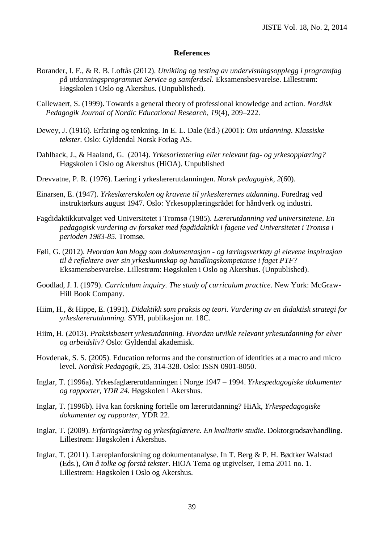#### **References**

- Borander, I. F., & R. B. Loftås (2012). *Utvikling og testing av undervisningsopplegg i programfag på utdanningsprogrammet Service og samferdsel.* Eksamensbesvarelse. Lillestrøm: Høgskolen i Oslo og Akershus. (Unpublished).
- Callewaert, S. (1999). Towards a general theory of professional knowledge and action*. Nordisk Pedagogik Journal of Nordic Educational Research, 19*(4), 209–222.
- Dewey, J. (1916). Erfaring og tenkning. In E. L. Dale (Ed.) (2001): *Om utdanning. Klassiske tekster.* Oslo: Gyldendal Norsk Forlag AS.
- Dahlback, J., & Haaland, G. (2014). *Yrkesorientering eller relevant fag- og yrkesopplæring?* Høgskolen i Oslo og Akershus (HiOA). Unpublished
- Drevvatne, P. R. (1976). Læring i yrkeslærerutdanningen. *Norsk pedagogisk, 2*(60).
- Einarsen, E. (1947). *Yrkeslærerskolen og kravene til yrkeslærernes utdanning*. Foredrag ved instruktørkurs august 1947. Oslo: Yrkesopplæringsrådet for håndverk og industri.
- Fagdidaktikkutvalget ved Universitetet i Tromsø (1985). *Lærerutdanning ved universitetene*. *En pedagogisk vurdering av forsøket med fagdidaktikk i fagene ved Universitetet i Tromsø i perioden 1983-85.* Tromsø.
- Føli, G. (2012). *Hvordan kan blogg som dokumentasjon - og læringsverktøy gi elevene inspirasjon til å reflektere over sin yrkeskunnskap og handlingskompetanse i faget PTF?* Eksamensbesvarelse. Lillestrøm: Høgskolen i Oslo og Akershus. (Unpublished).
- Goodlad, J. I. (1979). *Curriculum inquiry. The study of curriculum practice*. New York: McGraw-Hill Book Company.
- Hiim, H., & Hippe, E. (1991). *Didaktikk som praksis og teori. Vurdering av en didaktisk strategi for yrkeslærerutdanning.* SYH, publikasjon nr. 18C.
- Hiim, H. (2013). *Praksisbasert yrkesutdanning. Hvordan utvikle relevant yrkesutdanning for elver og arbeidsliv?* Oslo: Gyldendal akademisk.
- Hovdenak, S. S. (2005). Education reforms and the construction of identities at a macro and micro level. *Nordisk Pedagogik*, 25, 314-328. Oslo: ISSN 0901-8050.
- Inglar, T. (1996a). Yrkesfaglærerutdanningen i Norge 1947 1994. *Yrkespedagogiske dokumenter og rapporter, YDR 24.* Høgskolen i Akershus.
- Inglar, T. (1996b). Hva kan forskning fortelle om lærerutdanning? HiAk, *Yrkespedagogiske dokumenter og rapporter,* YDR 22.
- Inglar, T. (2009). *Erfaringslæring og yrkesfaglærere. En kvalitativ studie*. Doktorgradsavhandling. Lillestrøm: Høgskolen i Akershus.
- Inglar, T. (2011). Læreplanforskning og dokumentanalyse. In T. Berg & P. H. Bødtker Walstad (Eds.), *Om å tolke og forstå tekster*. HiOA Tema og utgivelser, Tema 2011 no. 1. Lillestrøm: Høgskolen i Oslo og Akershus.